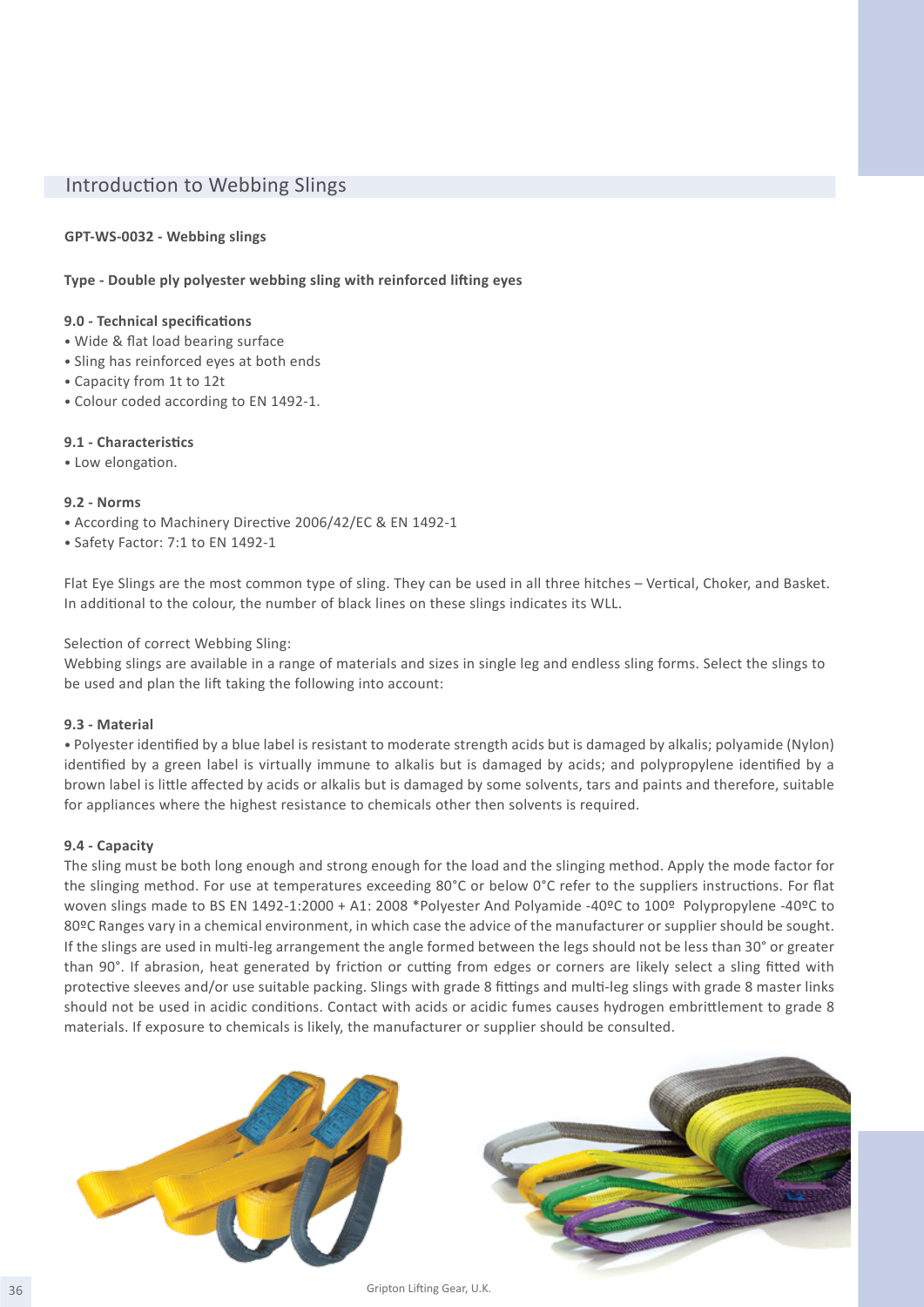# Introduction to Webbing Slings

# **GPT-WS-0032 - Webbing slings**

# **Type - Double ply polyester webbing sling with reinforced lifting eyes**

#### **9.0 - Technical specifications**

- Wide & flat load bearing surface
- Sling has reinforced eyes at both ends
- Capacity from 1t to 12t
- Colour coded according to EN 1492-1.

# **9.1 - Characteristics**

• Low elongation.

#### **9.2 - Norms**

- According to Machinery Directive 2006/42/EC & EN 1492-1
- Safety Factor: 7:1 to EN 1492-1

Flat Eye Slings are the most common type of sling. They can be used in all three hitches – Vertical, Choker, and Basket. In additional to the colour, the number of black lines on these slings indicates its WLL.

# Selection of correct Webbing Sling:

Webbing slings are available in a range of materials and sizes in single leg and endless sling forms. Select the slings to be used and plan the lift taking the following into account:

#### **9.3 - Material**

• Polyester identified by a blue label is resistant to moderate strength acids but is damaged by alkalis; polyamide (Nylon) identified by a green label is virtually immune to alkalis but is damaged by acids; and polypropylene identified by a brown label is little affected by acids or alkalis but is damaged by some solvents, tars and paints and therefore, suitable for appliances where the highest resistance to chemicals other then solvents is required.

#### **9.4 - Capacity**

The sling must be both long enough and strong enough for the load and the slinging method. Apply the mode factor for the slinging method. For use at temperatures exceeding 80°C or below 0°C refer to the suppliers instructions. For flat woven slings made to BS EN 1492-1:2000 + A1: 2008 \*Polyester And Polyamide -40ºC to 100º Polypropylene -40ºC to 80ºC Ranges vary in a chemical environment, in which case the advice of the manufacturer or supplier should be sought. If the slings are used in multi-leg arrangement the angle formed between the legs should not be less than 30° or greater than 90°. If abrasion, heat generated by friction or cutting from edges or corners are likely select a sling fitted with protective sleeves and/or use suitable packing. Slings with grade 8 fittings and multi-leg slings with grade 8 master links should not be used in acidic conditions. Contact with acids or acidic fumes causes hydrogen embrittlement to grade 8 materials. If exposure to chemicals is likely, the manufacturer or supplier should be consulted.